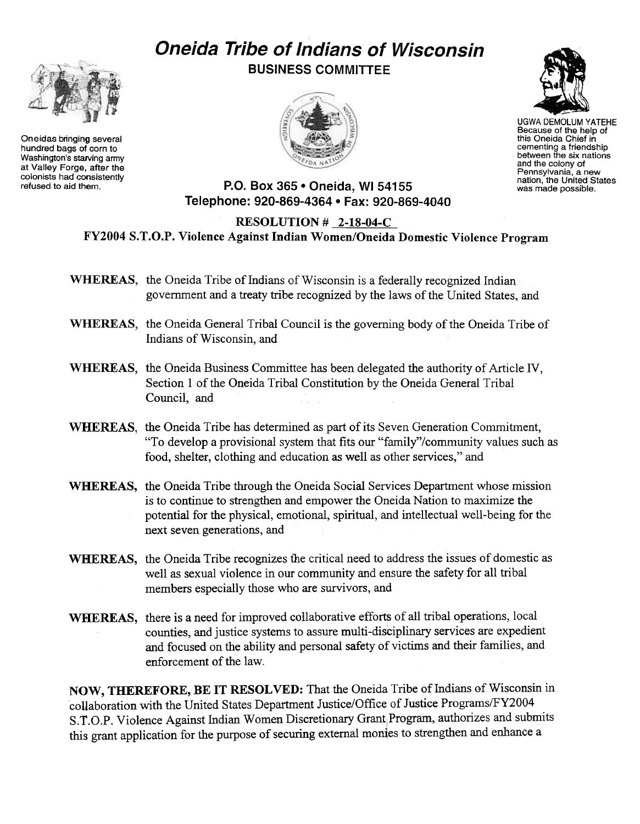## Oneida Tribe of Indians of Wisconsin



Oneidas bringing several hundred bags of corn to Washington's starving army at Valley Forge, after the colonists had consistently BUSINESS COMMITTEE





UGWA DEMOLUM YATEHE Because of the help of this Oneida Chief in cementing a friendship between the six nations and the colony of Pennsylvania, a new nation, the United States was made possible.

refused to aid them. P.O. Box 365 . Oneida, WI 54155 Telephone: 920-869-4364 · Fax: 920-869-4040

## RESOLUTION # 2-18-04-C FY2004 S. T.O.P. Violence Against Indian Women/Oneida Domestic Violence Program

- WHEREAS, the Oneida Tribe of Indians of Wisconsin is a federally recognized Indian governrnent and a treaty tribe recognized by the laws of the United States, and
- WHEREAS, the Oneida General Tribal Council is the governing body of the Oneida Tribe of Indians of Wisconsin, and
- WHEREAS, the Oneida Business Committee has been delegated the authority of Article IV, Section 1 of the Oneida Tribal Constitution by the Oneida General Tribal Council, and
- WHEREAS, the Oneida Tribe has determined as part of its Seven Generation Commitment, "To develop a provisional system that fits our "family"/community values such as food, shelter, clothing and education as well as other services," and
- WHEREAS, the Oneida Tribe through the Oneida Social Services Department whose mission is to continue to strengthen and empower the Oneida Nation to maximize the potential for the physical, emotional, spiritual, and intellectual well-being for the next. seven generations, and
- WHEREAS, the Oneida Tribe recognizes the critical need to address the issues of domestic as well as sexual violence in our community and ensure the safety for all tribal members especially those who are survivors, and
- WHEREAS, there is a need for improved collaborative efforts of all tribal operations, local counties, and justice systems to assure multi-disciplinary services are expedient and focused on the ability and personal safety of victims and their families, and enforcement of the law.

NOW, THEREFORE, BE IT RESOLVED: That the Oneida Tribe of Indians of Wisconsin in collaboration with the United States Department Justice/Office of Justice Programs/FY2004 S.T.O.P. Violence Against Indian Women Discretionary Grant Program, authorizes and submits this grant application for the purpose of securing external monies to strengthen and enhance a